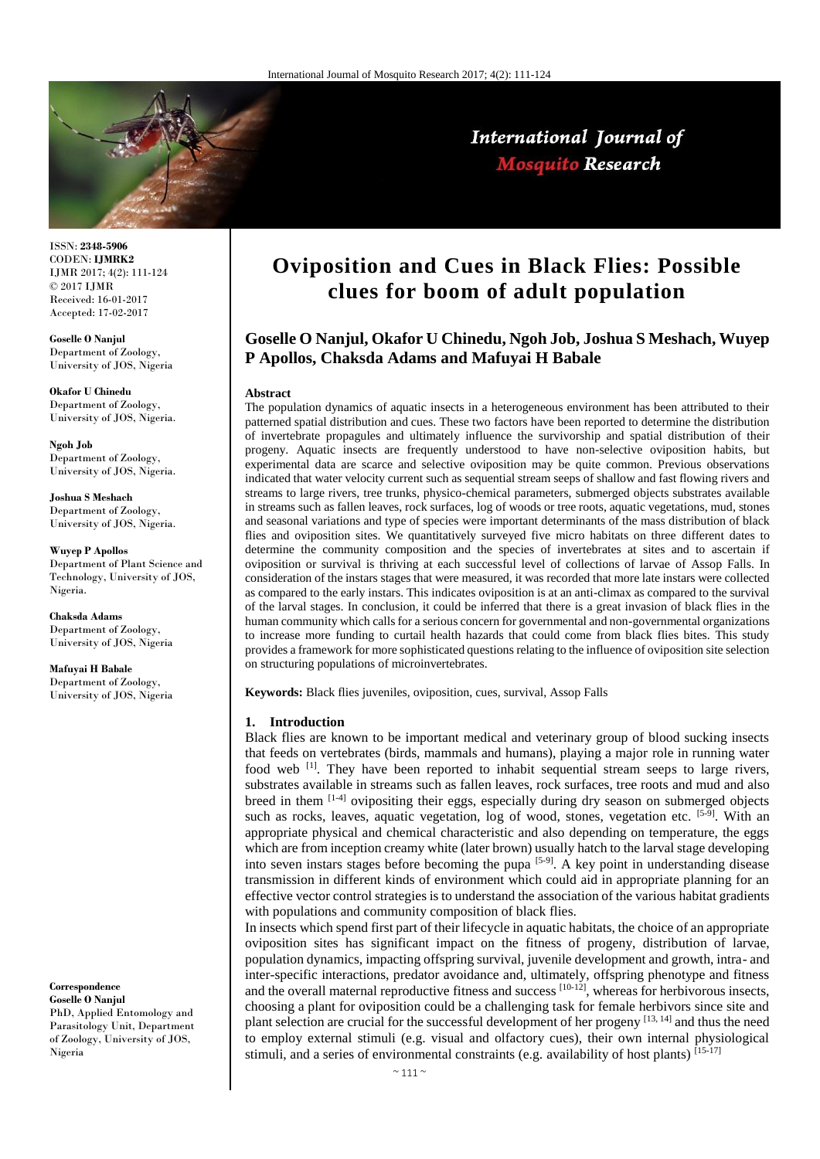

ISSN: **2348-5906** CODEN: **IJMRK2** IJMR 2017; 4(2): 111-124 © 2017 IJMR Received: 16-01-2017 Accepted: 17-02-2017

**Goselle O Nanjul** Department of Zoology, University of JOS, Nigeria

**Okafor U Chinedu** Department of Zoology, University of JOS, Nigeria.

**Ngoh Job** Department of Zoology, University of JOS, Nigeria.

**Joshua S Meshach** Department of Zoology, University of JOS, Nigeria.

**Wuyep P Apollos** Department of Plant Science and Technology, University of JOS, Nigeria.

**Chaksda Adams** Department of Zoology, University of JOS, Nigeria

**Mafuyai H Babale** Department of Zoology, University of JOS, Nigeria

#### **Correspondence Goselle O Nanjul**

PhD, Applied Entomology and Parasitology Unit, Department of Zoology, University of JOS, Nigeria

# **Oviposition and Cues in Black Flies: Possible clues for boom of adult population**

International Journal of **Mosquito Research** 

## **Goselle O Nanjul, Okafor U Chinedu, Ngoh Job, Joshua S Meshach, Wuyep P Apollos, Chaksda Adams and Mafuyai H Babale**

#### **Abstract**

The population dynamics of aquatic insects in a heterogeneous environment has been attributed to their patterned spatial distribution and cues. These two factors have been reported to determine the distribution of invertebrate propagules and ultimately influence the survivorship and spatial distribution of their progeny. Aquatic insects are frequently understood to have non-selective oviposition habits, but experimental data are scarce and selective oviposition may be quite common. Previous observations indicated that water velocity current such as sequential stream seeps of shallow and fast flowing rivers and streams to large rivers, tree trunks, physico-chemical parameters, submerged objects substrates available in streams such as fallen leaves, rock surfaces, log of woods or tree roots, aquatic vegetations, mud, stones and seasonal variations and type of species were important determinants of the mass distribution of black flies and oviposition sites. We quantitatively surveyed five micro habitats on three different dates to determine the community composition and the species of invertebrates at sites and to ascertain if oviposition or survival is thriving at each successful level of collections of larvae of Assop Falls. In consideration of the instars stages that were measured, it was recorded that more late instars were collected as compared to the early instars. This indicates oviposition is at an anti-climax as compared to the survival of the larval stages. In conclusion, it could be inferred that there is a great invasion of black flies in the human community which calls for a serious concern for governmental and non-governmental organizations to increase more funding to curtail health hazards that could come from black flies bites. This study provides a framework for more sophisticated questions relating to the influence of oviposition site selection on structuring populations of microinvertebrates.

**Keywords:** Black flies juveniles, oviposition, cues, survival, Assop Falls

#### **1. Introduction**

Black flies are known to be important medical and veterinary group of blood sucking insects that feeds on vertebrates (birds, mammals and humans), playing a major role in running water food web [1]. They have been reported to inhabit sequential stream seeps to large rivers, substrates available in streams such as fallen leaves, rock surfaces, tree roots and mud and also breed in them  $[1-4]$  ovipositing their eggs, especially during dry season on submerged objects such as rocks, leaves, aquatic vegetation, log of wood, stones, vegetation etc.  $[5-9]$ . With an appropriate physical and chemical characteristic and also depending on temperature, the eggs which are from inception creamy white (later brown) usually hatch to the larval stage developing into seven instars stages before becoming the pupa  $[5-9]$ . A key point in understanding disease transmission in different kinds of environment which could aid in appropriate planning for an effective vector control strategies is to understand the association of the various habitat gradients with populations and community composition of black flies.

In insects which spend first part of their lifecycle in aquatic habitats, the choice of an appropriate oviposition sites has significant impact on the fitness of progeny, distribution of larvae, population dynamics, impacting offspring survival, juvenile development and growth, intra- and inter-specific interactions, predator avoidance and, ultimately, offspring phenotype and fitness and the overall maternal reproductive fitness and success  $[10-12]$ , whereas for herbivorous insects, choosing a plant for oviposition could be a challenging task for female herbivors since site and plant selection are crucial for the successful development of her progeny [13, 14] and thus the need to employ external stimuli (e.g. visual and olfactory cues), their own internal physiological stimuli, and a series of environmental constraints (e.g. availability of host plants) [15-17]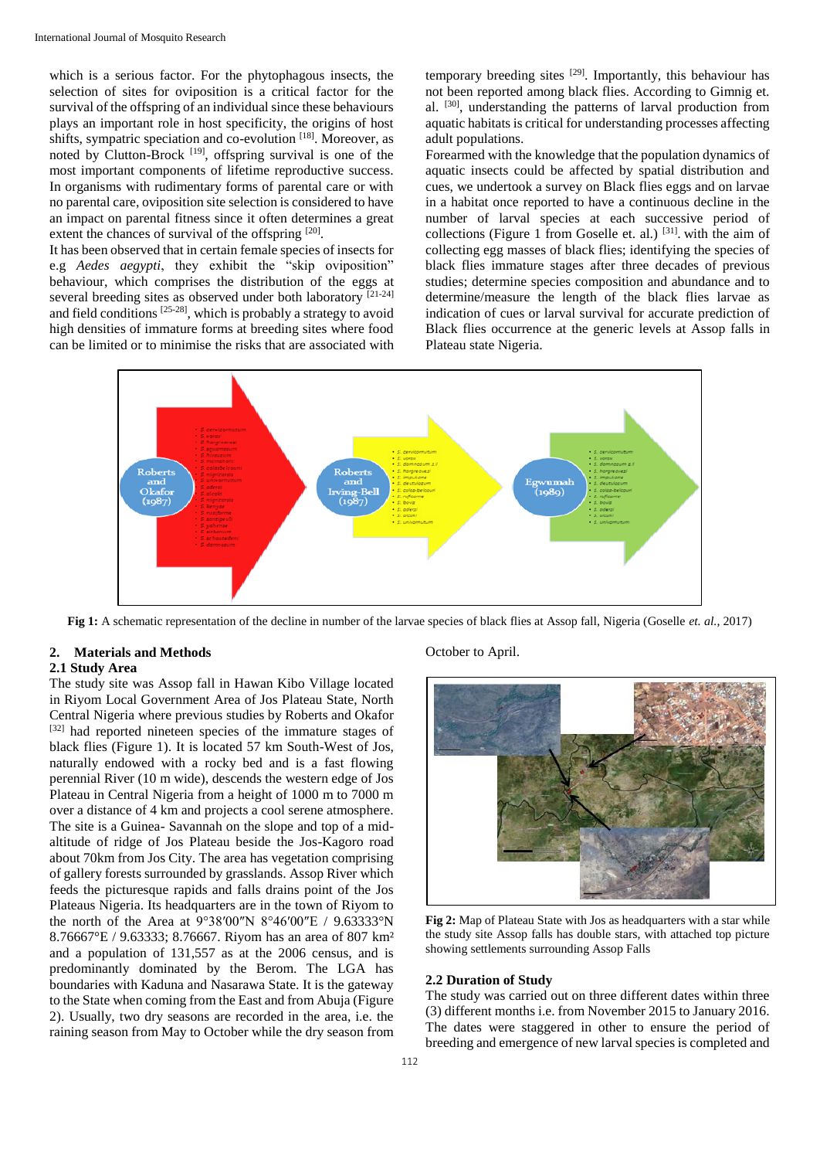which is a serious factor. For the phytophagous insects, the selection of sites for oviposition is a critical factor for the survival of the offspring of an individual since these behaviours plays an important role in host specificity, the origins of host shifts, sympatric speciation and co-evolution [18]. Moreover, as noted by Clutton-Brock  $[19]$ , offspring survival is one of the most important components of lifetime reproductive success. In organisms with rudimentary forms of parental care or with no parental care, oviposition site selection is considered to have an impact on parental fitness since it often determines a great extent the chances of survival of the offspring [20].

It has been observed that in certain female species of insects for e.g *Aedes aegypti*, they exhibit the "skip oviposition" behaviour, which comprises the distribution of the eggs at several breeding sites as observed under both laboratory [21-24] and field conditions [25-28], which is probably a strategy to avoid high densities of immature forms at breeding sites where food can be limited or to minimise the risks that are associated with

temporary breeding sites <sup>[29]</sup>. Importantly, this behaviour has not been reported among black flies. According to Gimnig et. al. <sup>[30]</sup>, understanding the patterns of larval production from aquatic habitats is critical for understanding processes affecting adult populations.

Forearmed with the knowledge that the population dynamics of aquatic insects could be affected by spatial distribution and cues, we undertook a survey on Black flies eggs and on larvae in a habitat once reported to have a continuous decline in the number of larval species at each successive period of collections (Figure 1 from Goselle et. al.)  $[31]$ . with the aim of collecting egg masses of black flies; identifying the species of black flies immature stages after three decades of previous studies; determine species composition and abundance and to determine/measure the length of the black flies larvae as indication of cues or larval survival for accurate prediction of Black flies occurrence at the generic levels at Assop falls in Plateau state Nigeria.



**Fig 1:** A schematic representation of the decline in number of the larvae species of black flies at Assop fall, Nigeria (Goselle *et. al.*, 2017)

## **2. Materials and Methods**

### **2.1 Study Area**

The study site was Assop fall in Hawan Kibo Village located in Riyom Local Government Area of Jos Plateau State, North Central Nigeria where previous studies by Roberts and Okafor [32] had reported nineteen species of the immature stages of black flies (Figure 1). It is located 57 km South-West of Jos, naturally endowed with a rocky bed and is a fast flowing perennial River (10 m wide), descends the western edge of Jos Plateau in Central Nigeria from a height of 1000 m to 7000 m over a distance of 4 km and projects a cool serene atmosphere. The site is a Guinea- Savannah on the slope and top of a midaltitude of ridge of Jos Plateau beside the Jos-Kagoro road about 70km from Jos City. The area has vegetation comprising of gallery forests surrounded by grasslands. Assop River which feeds the picturesque rapids and falls drains point of the Jos Plateaus Nigeria. Its headquarters are in the town of Riyom to the north of the Area at 9°38′00″N 8°46′00″E / 9.63333°N 8.76667°E / 9.63333; 8.76667. Riyom has an area of 807 km² and a population of 131,557 as at the 2006 census, and is predominantly dominated by the Berom. The LGA has boundaries with Kaduna and Nasarawa State. It is the gateway to the State when coming from the East and from Abuja (Figure 2). Usually, two dry seasons are recorded in the area, i.e. the raining season from May to October while the dry season from

## October to April.



**Fig 2:** Map of Plateau State with Jos as headquarters with a star while the study site Assop falls has double stars, with attached top picture showing settlements surrounding Assop Falls

#### **2.2 Duration of Study**

The study was carried out on three different dates within three (3) different months i.e. from November 2015 to January 2016. The dates were staggered in other to ensure the period of breeding and emergence of new larval species is completed and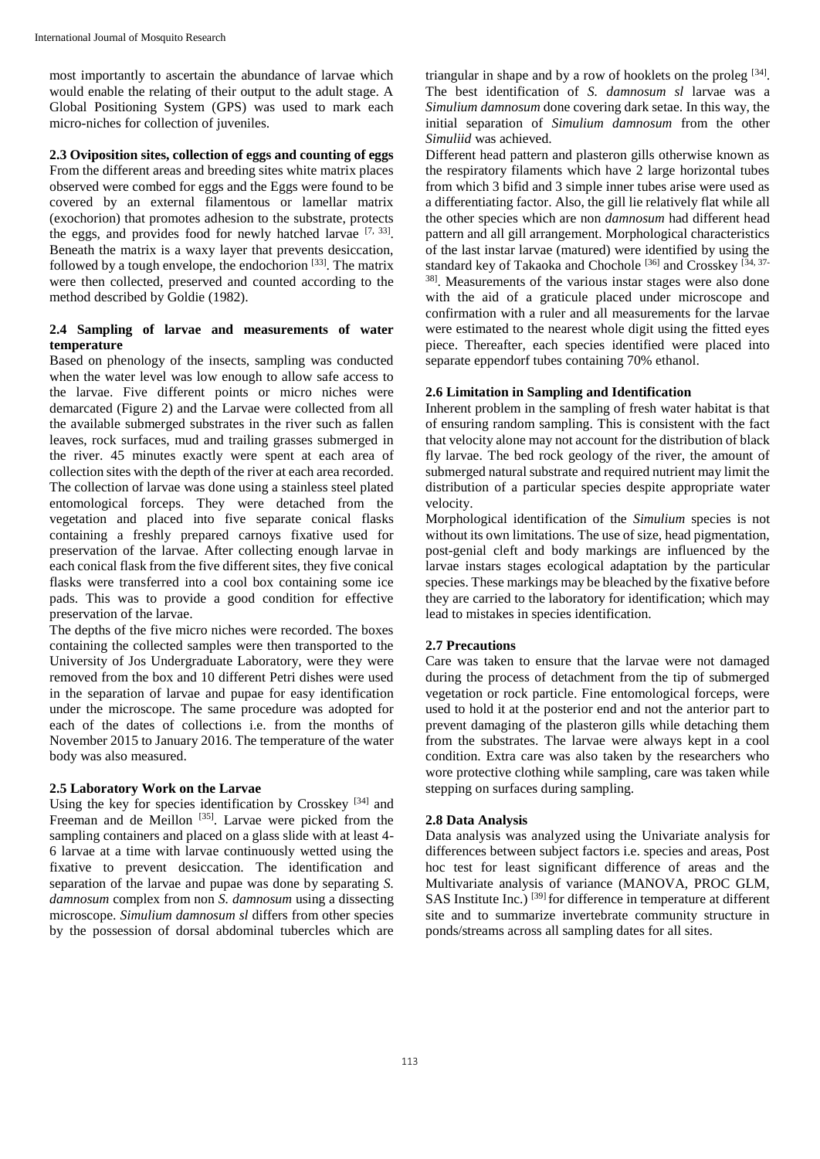most importantly to ascertain the abundance of larvae which would enable the relating of their output to the adult stage. A Global Positioning System (GPS) was used to mark each micro-niches for collection of juveniles.

**2.3 Oviposition sites, collection of eggs and counting of eggs** 

From the different areas and breeding sites white matrix places observed were combed for eggs and the Eggs were found to be covered by an external filamentous or lamellar matrix (exochorion) that promotes adhesion to the substrate, protects the eggs, and provides food for newly hatched larvae  $[7, 33]$ . Beneath the matrix is a waxy layer that prevents desiccation, followed by a tough envelope, the endochorion  $[33]$ . The matrix were then collected, preserved and counted according to the method described by Goldie (1982).

## **2.4 Sampling of larvae and measurements of water temperature**

Based on phenology of the insects, sampling was conducted when the water level was low enough to allow safe access to the larvae. Five different points or micro niches were demarcated (Figure 2) and the Larvae were collected from all the available submerged substrates in the river such as fallen leaves, rock surfaces, mud and trailing grasses submerged in the river. 45 minutes exactly were spent at each area of collection sites with the depth of the river at each area recorded. The collection of larvae was done using a stainless steel plated entomological forceps. They were detached from the vegetation and placed into five separate conical flasks containing a freshly prepared carnoys fixative used for preservation of the larvae. After collecting enough larvae in each conical flask from the five different sites, they five conical flasks were transferred into a cool box containing some ice pads. This was to provide a good condition for effective preservation of the larvae.

The depths of the five micro niches were recorded. The boxes containing the collected samples were then transported to the University of Jos Undergraduate Laboratory, were they were removed from the box and 10 different Petri dishes were used in the separation of larvae and pupae for easy identification under the microscope. The same procedure was adopted for each of the dates of collections i.e. from the months of November 2015 to January 2016. The temperature of the water body was also measured.

## **2.5 Laboratory Work on the Larvae**

Using the key for species identification by Crosskey<sup>[34]</sup> and Freeman and de Meillon<sup>[35]</sup>. Larvae were picked from the sampling containers and placed on a glass slide with at least 4- 6 larvae at a time with larvae continuously wetted using the fixative to prevent desiccation. The identification and separation of the larvae and pupae was done by separating *S. damnosum* complex from non *S. damnosum* using a dissecting microscope. *Simulium damnosum sl* differs from other species by the possession of dorsal abdominal tubercles which are

triangular in shape and by a row of hooklets on the proleg [34]. The best identification of *S. damnosum sl* larvae was a *Simulium damnosum* done covering dark setae. In this way, the initial separation of *Simulium damnosum* from the other *Simuliid* was achieved.

Different head pattern and plasteron gills otherwise known as the respiratory filaments which have 2 large horizontal tubes from which 3 bifid and 3 simple inner tubes arise were used as a differentiating factor. Also, the gill lie relatively flat while all the other species which are non *damnosum* had different head pattern and all gill arrangement. Morphological characteristics of the last instar larvae (matured) were identified by using the standard key of Takaoka and Chochole<sup>[36]</sup> and Crosskey<sup>[34, 37-</sup> 38] . Measurements of the various instar stages were also done with the aid of a graticule placed under microscope and confirmation with a ruler and all measurements for the larvae were estimated to the nearest whole digit using the fitted eyes piece. Thereafter, each species identified were placed into separate eppendorf tubes containing 70% ethanol.

## **2.6 Limitation in Sampling and Identification**

Inherent problem in the sampling of fresh water habitat is that of ensuring random sampling. This is consistent with the fact that velocity alone may not account for the distribution of black fly larvae. The bed rock geology of the river, the amount of submerged natural substrate and required nutrient may limit the distribution of a particular species despite appropriate water velocity.

Morphological identification of the *Simulium* species is not without its own limitations. The use of size, head pigmentation, post-genial cleft and body markings are influenced by the larvae instars stages ecological adaptation by the particular species. These markings may be bleached by the fixative before they are carried to the laboratory for identification; which may lead to mistakes in species identification.

## **2.7 Precautions**

Care was taken to ensure that the larvae were not damaged during the process of detachment from the tip of submerged vegetation or rock particle. Fine entomological forceps, were used to hold it at the posterior end and not the anterior part to prevent damaging of the plasteron gills while detaching them from the substrates. The larvae were always kept in a cool condition. Extra care was also taken by the researchers who wore protective clothing while sampling, care was taken while stepping on surfaces during sampling.

## **2.8 Data Analysis**

Data analysis was analyzed using the Univariate analysis for differences between subject factors i.e. species and areas, Post hoc test for least significant difference of areas and the Multivariate analysis of variance (MANOVA, PROC GLM, SAS Institute Inc.)<sup>[39]</sup> for difference in temperature at different site and to summarize invertebrate community structure in ponds/streams across all sampling dates for all sites.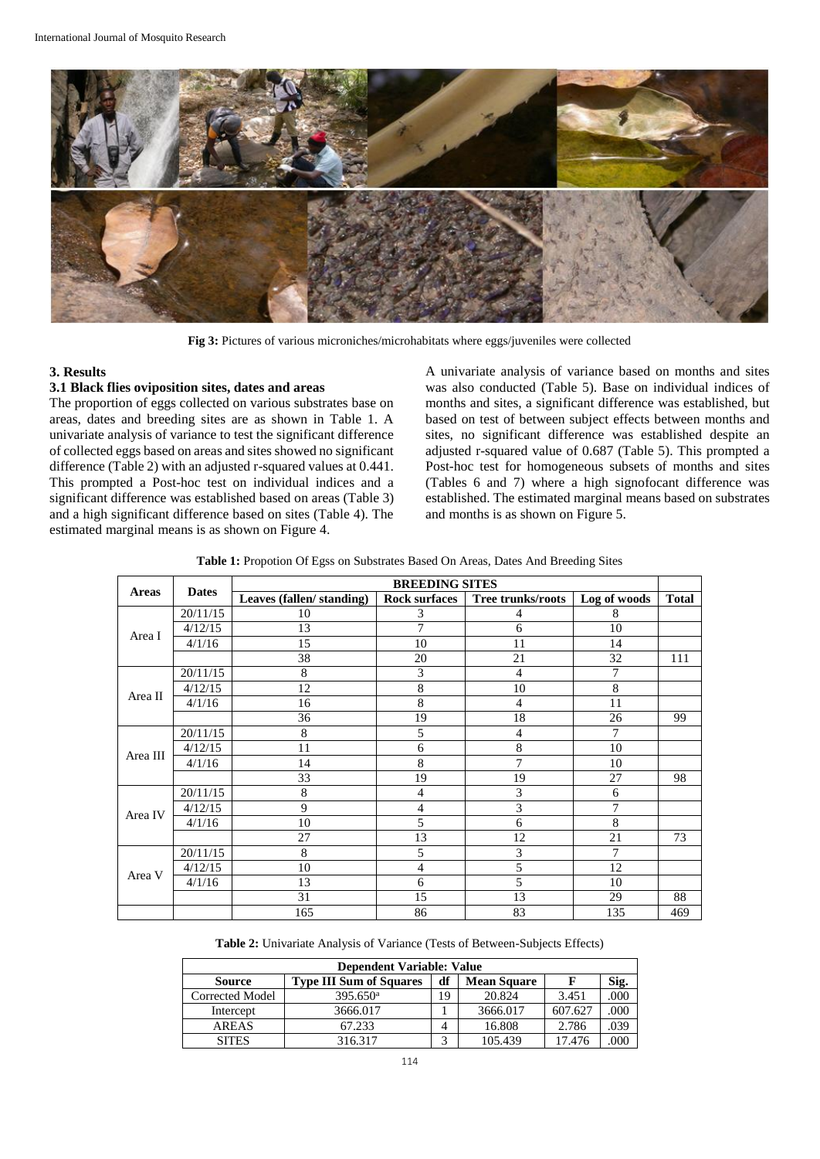

**Fig 3:** Pictures of various microniches/microhabitats where eggs/juveniles were collected

## **3. Results**

## **3.1 Black flies oviposition sites, dates and areas**

The proportion of eggs collected on various substrates base on areas, dates and breeding sites are as shown in Table 1. A univariate analysis of variance to test the significant difference of collected eggs based on areas and sites showed no significant difference (Table 2) with an adjusted r-squared values at 0.441. This prompted a Post-hoc test on individual indices and a significant difference was established based on areas (Table 3) and a high significant difference based on sites (Table 4). The estimated marginal means is as shown on Figure 4.

A univariate analysis of variance based on months and sites was also conducted (Table 5). Base on individual indices of months and sites, a significant difference was established, but based on test of between subject effects between months and sites, no significant difference was established despite an adjusted r-squared value of 0.687 (Table 5). This prompted a Post-hoc test for homogeneous subsets of months and sites (Tables 6 and 7) where a high signofocant difference was established. The estimated marginal means based on substrates and months is as shown on Figure 5.

|          |              | <b>BREEDING SITES</b>    |                      |                   |              |              |  |
|----------|--------------|--------------------------|----------------------|-------------------|--------------|--------------|--|
| Areas    | <b>Dates</b> | Leaves (fallen/standing) | <b>Rock surfaces</b> | Tree trunks/roots | Log of woods | <b>Total</b> |  |
|          | 20/11/15     | 10                       | 3                    | 4                 | 8            |              |  |
|          | 4/12/15      | 13                       | 7                    | 6                 | 10           |              |  |
| Area I   | 4/1/16       | 15                       | 10                   | 11                | 14           |              |  |
|          |              | 38                       | 20                   | 21                | 32           | 111          |  |
|          | 20/11/15     | 8                        | 3                    | 4                 | 7            |              |  |
| Area II  | 4/12/15      | 12                       | 8                    | 10                | 8            |              |  |
|          | 4/1/16       | 16                       | 8                    | 4                 | 11           |              |  |
|          |              | 36                       | 19                   | 18                | 26           | 99           |  |
|          | 20/11/15     | 8                        | 5                    | 4                 | 7            |              |  |
|          | 4/12/15      | 11                       | 6                    | 8                 | 10           |              |  |
| Area III | 4/1/16       | 14                       | 8                    | $\overline{7}$    | 10           |              |  |
|          |              | 33                       | 19                   | 19                | 27           | 98           |  |
|          | 20/11/15     | 8                        | 4                    | 3                 | 6            |              |  |
|          | 4/12/15      | 9                        | 4                    | 3                 | 7            |              |  |
| Area IV  | 4/1/16       | 10                       | 5                    | 6                 | 8            |              |  |
|          |              | 27                       | 13                   | 12                | 21           | 73           |  |
| Area V   | 20/11/15     | 8                        | 5                    | 3                 | 7            |              |  |
|          | 4/12/15      | 10                       | $\overline{4}$       | 5                 | 12           |              |  |
|          | 4/1/16       | 13                       | 6                    | 5                 | 10           |              |  |
|          |              | 31                       | 15                   | 13                | 29           | 88           |  |
|          |              | 165                      | 86                   | 83                | 135          | 469          |  |

**Table 2:** Univariate Analysis of Variance (Tests of Between-Subjects Effects)

| <b>Dependent Variable: Value</b> |                                |    |                    |         |      |  |  |  |
|----------------------------------|--------------------------------|----|--------------------|---------|------|--|--|--|
| <b>Source</b>                    | <b>Type III Sum of Squares</b> | df | <b>Mean Square</b> |         | Sig. |  |  |  |
| Corrected Model                  | $395.650$ <sup>a</sup>         | 19 | 20.824             | 3.451   | 000  |  |  |  |
| Intercept                        | 3666.017                       |    | 3666.017           | 607.627 | .000 |  |  |  |
| <b>AREAS</b>                     | 67.233                         | 4  | 16.808             | 2.786   | 039  |  |  |  |
| <b>SITES</b>                     | 316.317                        |    | 105.439            | 17.476  | ooc  |  |  |  |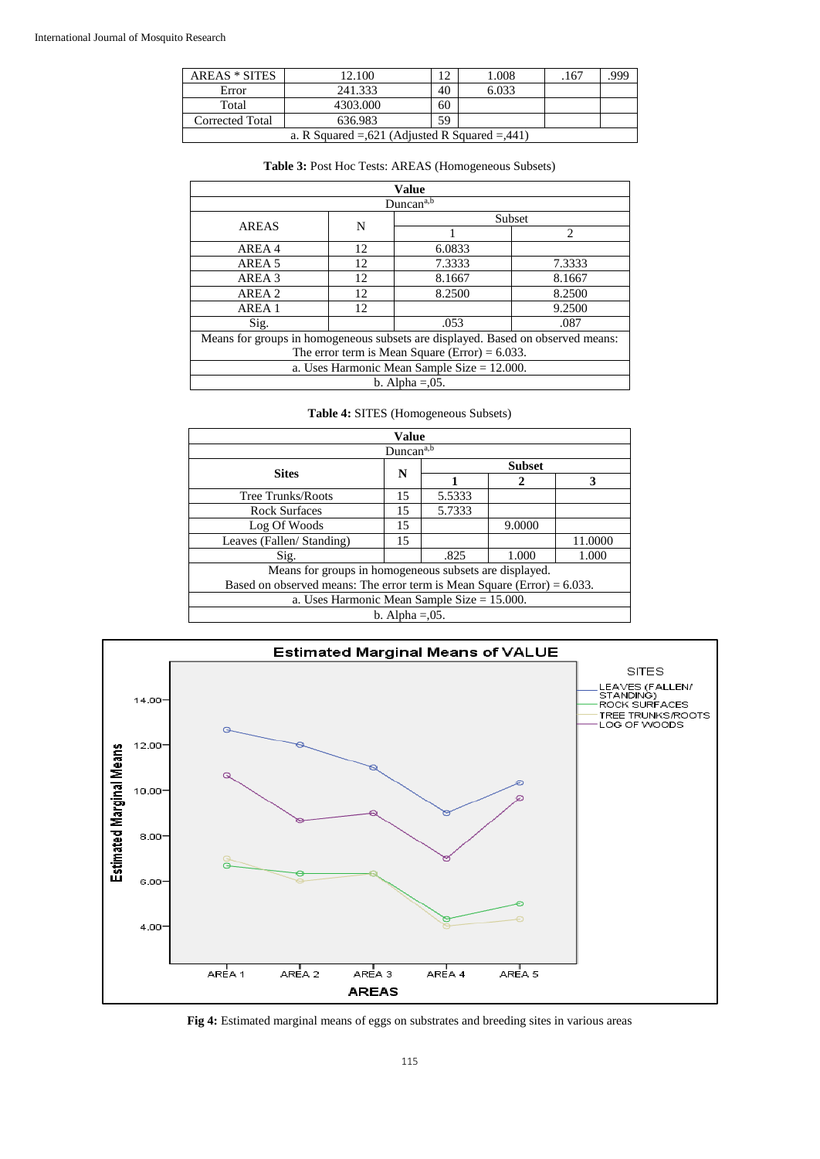| <b>AREAS * SITES</b>                               | 12.100   |    | 1.008 | .167 | 999 |  |  |
|----------------------------------------------------|----------|----|-------|------|-----|--|--|
| Error                                              | 241.333  | 40 | 6.033 |      |     |  |  |
| Total                                              | 4303.000 | 60 |       |      |     |  |  |
| 59<br>636.983<br>Corrected Total                   |          |    |       |      |     |  |  |
| a. R Squared $= 621$ (Adjusted R Squared $= 441$ ) |          |    |       |      |     |  |  |

| Table 3: Post Hoc Tests: AREAS (Homogeneous Subsets) |       |  |  |  |  |  |
|------------------------------------------------------|-------|--|--|--|--|--|
|                                                      | Value |  |  |  |  |  |
| Duncan <sup>a,b</sup>                                |       |  |  |  |  |  |
|                                                      |       |  |  |  |  |  |

| Duncan <sup>a,b</sup>                                                           |    |        |                             |  |  |  |
|---------------------------------------------------------------------------------|----|--------|-----------------------------|--|--|--|
| <b>AREAS</b>                                                                    | N  | Subset |                             |  |  |  |
|                                                                                 |    |        | $\mathcal{D}_{\mathcal{L}}$ |  |  |  |
| AREA 4                                                                          | 12 | 6.0833 |                             |  |  |  |
| AREA 5                                                                          | 12 | 7.3333 | 7.3333                      |  |  |  |
| AREA 3                                                                          | 12 | 8.1667 | 8.1667                      |  |  |  |
| AREA 2                                                                          | 12 | 8.2500 | 8.2500                      |  |  |  |
| AREA 1                                                                          | 12 |        | 9.2500                      |  |  |  |
| Sig.                                                                            |    | .053   | .087                        |  |  |  |
| Means for groups in homogeneous subsets are displayed. Based on observed means: |    |        |                             |  |  |  |
| The error term is Mean Square (Error) = $6.033$ .                               |    |        |                             |  |  |  |
| a. Uses Harmonic Mean Sample Size $= 12.000$ .                                  |    |        |                             |  |  |  |
| b. Alpha $= 0.05$ .                                                             |    |        |                             |  |  |  |

## **Table 4:** SITES (Homogeneous Subsets)

| <b>Value</b>                                                               |                    |               |        |         |  |  |
|----------------------------------------------------------------------------|--------------------|---------------|--------|---------|--|--|
| Duncan <sup>a,b</sup>                                                      |                    |               |        |         |  |  |
| <b>Sites</b>                                                               | N                  | <b>Subset</b> |        |         |  |  |
|                                                                            |                    |               | 2      | 3       |  |  |
| Tree Trunks/Roots                                                          | 15                 | 5.5333        |        |         |  |  |
| <b>Rock Surfaces</b>                                                       | 15                 | 5.7333        |        |         |  |  |
| Log Of Woods                                                               | 15                 |               | 9.0000 |         |  |  |
| Leaves (Fallen/ Standing)                                                  | 15                 |               |        | 11.0000 |  |  |
| Sig.                                                                       |                    | .825          | 1.000  | 1.000   |  |  |
| Means for groups in homogeneous subsets are displayed.                     |                    |               |        |         |  |  |
| Based on observed means: The error term is Mean Square (Error) = $6.033$ . |                    |               |        |         |  |  |
| a. Uses Harmonic Mean Sample Size $= 15.000$ .                             |                    |               |        |         |  |  |
|                                                                            | b. Alpha $=0.05$ . |               |        |         |  |  |



**Fig 4:** Estimated marginal means of eggs on substrates and breeding sites in various areas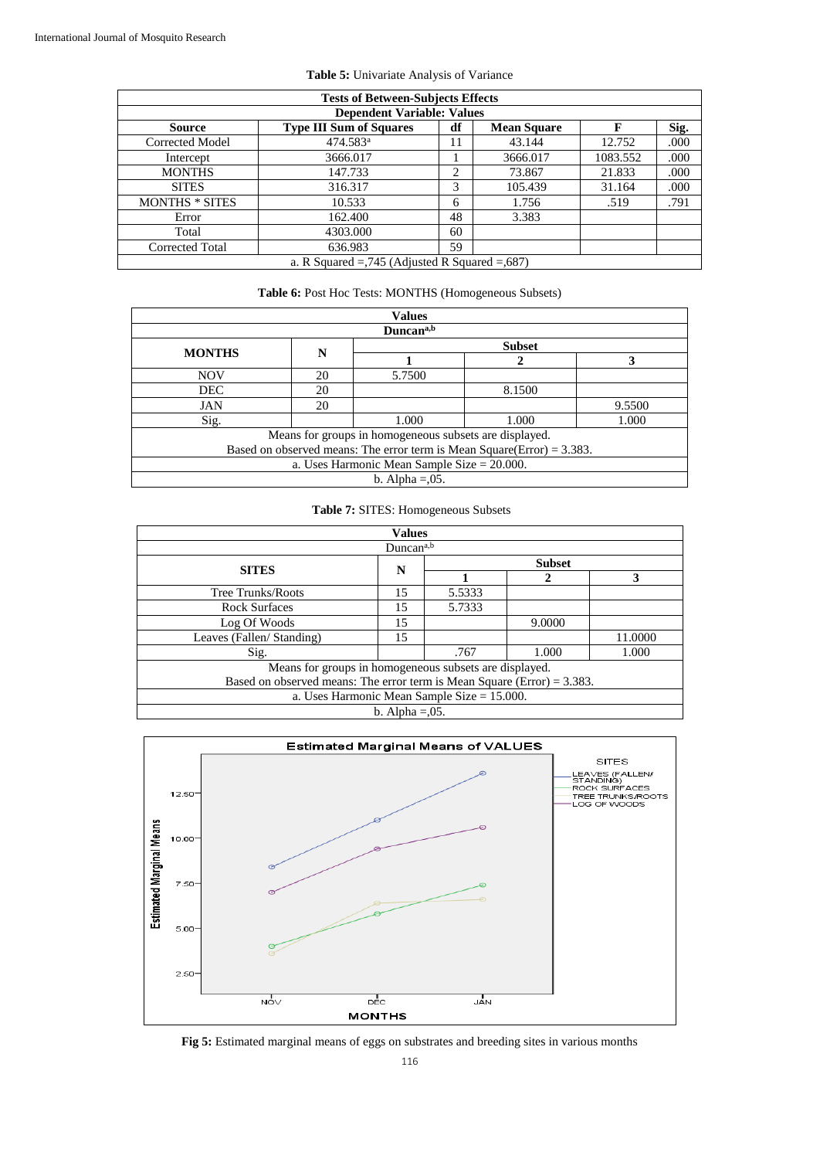| <b>Tests of Between-Subjects Effects</b>                                                 |                        |    |          |          |      |  |  |  |
|------------------------------------------------------------------------------------------|------------------------|----|----------|----------|------|--|--|--|
| <b>Dependent Variable: Values</b>                                                        |                        |    |          |          |      |  |  |  |
| Sig.<br><b>Type III Sum of Squares</b><br>df<br>F<br><b>Source</b><br><b>Mean Square</b> |                        |    |          |          |      |  |  |  |
| Corrected Model                                                                          | $474.583$ <sup>a</sup> | 11 | 43.144   | 12.752   | .000 |  |  |  |
| Intercept                                                                                | 3666.017               |    | 3666.017 | 1083.552 | .000 |  |  |  |
| <b>MONTHS</b>                                                                            | 147.733                | ∍  | 73.867   | 21.833   | .000 |  |  |  |
| <b>SITES</b>                                                                             | 316.317                | 3  | 105.439  | 31.164   | .000 |  |  |  |
| <b>MONTHS</b> * SITES                                                                    | 10.533                 | 6  | 1.756    | .519     | .791 |  |  |  |
| Error                                                                                    | 162.400                | 48 | 3.383    |          |      |  |  |  |
| Total                                                                                    | 4303.000               | 60 |          |          |      |  |  |  |
| 59<br><b>Corrected Total</b><br>636.983                                                  |                        |    |          |          |      |  |  |  |
| a. R Squared $=$ ,745 (Adjusted R Squared $=$ ,687)                                      |                        |    |          |          |      |  |  |  |

| Table 6: Post Hoc Tests: MONTHS (Homogeneous Subsets) |  |
|-------------------------------------------------------|--|
|-------------------------------------------------------|--|

| <b>Values</b>         |                                                                           |                     |        |        |  |  |  |  |
|-----------------------|---------------------------------------------------------------------------|---------------------|--------|--------|--|--|--|--|
| Duncan <sup>a,b</sup> |                                                                           |                     |        |        |  |  |  |  |
| <b>MONTHS</b>         | <b>Subset</b><br>N                                                        |                     |        |        |  |  |  |  |
|                       |                                                                           |                     |        |        |  |  |  |  |
| <b>NOV</b>            | 20                                                                        | 5.7500              |        |        |  |  |  |  |
| <b>DEC</b>            | 20                                                                        |                     | 8.1500 |        |  |  |  |  |
| <b>JAN</b>            | 20                                                                        |                     |        | 9.5500 |  |  |  |  |
| Sig.                  |                                                                           | 1.000               | 1.000  | 1.000  |  |  |  |  |
|                       | Means for groups in homogeneous subsets are displayed.                    |                     |        |        |  |  |  |  |
|                       | Based on observed means: The error term is Mean Square(Error) = $3.383$ . |                     |        |        |  |  |  |  |
|                       | a. Uses Harmonic Mean Sample Size $= 20.000$ .                            |                     |        |        |  |  |  |  |
|                       |                                                                           | b. Alpha $= 0.05$ . |        |        |  |  |  |  |

## **Table 7:** SITES: Homogeneous Subsets

| <b>Values</b>                                                              |                     |               |        |         |  |  |
|----------------------------------------------------------------------------|---------------------|---------------|--------|---------|--|--|
| Duncan <sup>a,b</sup>                                                      |                     |               |        |         |  |  |
| <b>SITES</b>                                                               | N                   | <b>Subset</b> |        |         |  |  |
|                                                                            |                     |               |        | 3       |  |  |
| Tree Trunks/Roots                                                          | 15                  | 5.5333        |        |         |  |  |
| <b>Rock Surfaces</b>                                                       | 15                  | 5.7333        |        |         |  |  |
| Log Of Woods                                                               | 15                  |               | 9.0000 |         |  |  |
| Leaves (Fallen/ Standing)                                                  | 15                  |               |        | 11.0000 |  |  |
| Sig.                                                                       |                     | .767          | 1.000  | 1.000   |  |  |
| Means for groups in homogeneous subsets are displayed.                     |                     |               |        |         |  |  |
| Based on observed means: The error term is Mean Square (Error) = $3.383$ . |                     |               |        |         |  |  |
| a. Uses Harmonic Mean Sample Size $= 15.000$ .                             |                     |               |        |         |  |  |
|                                                                            | b. Alpha $= 0.05$ . |               |        |         |  |  |



**Fig 5:** Estimated marginal means of eggs on substrates and breeding sites in various months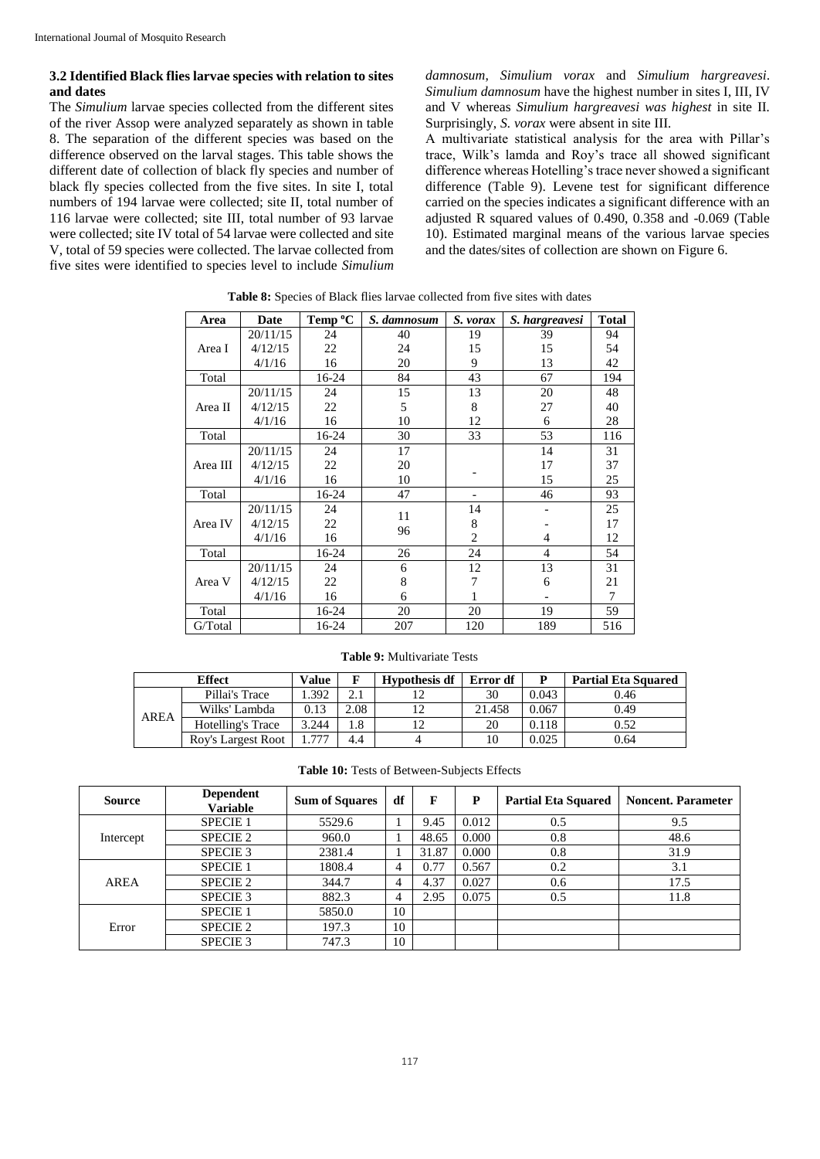AREA

## **3.2 Identified Black flies larvae species with relation to sites and dates**

The *Simulium* larvae species collected from the different sites of the river Assop were analyzed separately as shown in table 8. The separation of the different species was based on the difference observed on the larval stages. This table shows the different date of collection of black fly species and number of black fly species collected from the five sites. In site I, total numbers of 194 larvae were collected; site II, total number of 116 larvae were collected; site III, total number of 93 larvae were collected; site IV total of 54 larvae were collected and site V, total of 59 species were collected. The larvae collected from five sites were identified to species level to include *Simulium*  *damnosum*, *Simulium vorax* and *Simulium hargreavesi*. *Simulium damnosum* have the highest number in sites I, III, IV and V whereas *Simulium hargreavesi was highest* in site II*.*  Surprisingly, *S. vorax* were absent in site III*.*

A multivariate statistical analysis for the area with Pillar's trace, Wilk's lamda and Roy's trace all showed significant difference whereas Hotelling's trace never showed a significant difference (Table 9). Levene test for significant difference carried on the species indicates a significant difference with an adjusted R squared values of 0.490, 0.358 and -0.069 (Table 10). Estimated marginal means of the various larvae species and the dates/sites of collection are shown on Figure 6.

| Area     | Date     | Temp <sup>o</sup> C | S. damnosum | S. vorax       | S. hargreavesi | <b>Total</b> |
|----------|----------|---------------------|-------------|----------------|----------------|--------------|
|          | 20/11/15 | 24                  | 40          | 19             | 39             | 94           |
| Area I   | 4/12/15  | 22                  | 24          | 15             | 15             | 54           |
|          | 4/1/16   | 16                  | 20          | 9              | 13             | 42           |
| Total    |          | 16-24               | 84          | 43             | 67             | 194          |
|          | 20/11/15 | 24                  | 15          | 13             | 20             | 48           |
| Area II  | 4/12/15  | 22                  | 5           | 8              | 27             | 40           |
|          | 4/1/16   | 16                  | 10          | 12             | 6              | 28           |
| Total    |          | 16-24               | 30          | 33             | 53             | 116          |
|          | 20/11/15 | 24                  | 17          |                | 14             | 31           |
| Area III | 4/12/15  | 22                  | 20          |                | 17             | 37           |
|          | 4/1/16   | 16                  | 10          |                | 15             | 25           |
| Total    |          | 16-24               | 47          |                | 46             | 93           |
|          | 20/11/15 | 24                  | 11          | 14             |                | 25           |
| Area IV  | 4/12/15  | 22                  | 96          | 8              |                | 17           |
|          | 4/1/16   | 16                  |             | $\overline{2}$ | 4              | 12           |
| Total    |          | 16-24               | 26          | 24             | $\overline{4}$ | 54           |
|          | 20/11/15 | 24                  | 6           | 12             | 13             | 31           |
| Area V   | 4/12/15  | 22                  | 8           | 7              | 6              | 21           |
|          | 4/1/16   | 16                  | 6           | 1              |                | 7            |
| Total    |          | 16-24               | 20          | 20             | 19             | 59           |
| G/Total  |          | 16-24               | 207         | 120            | 189            | 516          |

**Table 8:** Species of Black flies larvae collected from five sites with dates

| <b>Table 9: Multivariate Tests</b> |              |  |                      |          |       |                            |  |  |  |  |  |
|------------------------------------|--------------|--|----------------------|----------|-------|----------------------------|--|--|--|--|--|
| <b>Effect</b>                      | <b>Value</b> |  | <b>Hypothesis df</b> | Error df |       | <b>Partial Eta Squared</b> |  |  |  |  |  |
| Pillai's Trace                     | 1.392        |  |                      | 30       | 0.043 | 0.46                       |  |  |  |  |  |

Wilks' Lambda 0.13 2.08 12 21.458 0.067 0.49 Hotelling's Trace 3.244 1.8 12 20 0.118 0.52 Roy's Largest Root | 1.777 | 4.4 | 4 | 10 | 0.025 | 0.64

**Table 10:** Tests of Between-Subjects Effects

| <b>Source</b> | <b>Dependent</b><br><b>Variable</b> | <b>Sum of Squares</b> | df | F     | P     | <b>Partial Eta Squared</b> | <b>Noncent. Parameter</b> |
|---------------|-------------------------------------|-----------------------|----|-------|-------|----------------------------|---------------------------|
|               | <b>SPECIE 1</b>                     | 5529.6                |    | 9.45  | 0.012 | 0.5                        | 9.5                       |
| Intercept     | <b>SPECIE 2</b>                     | 960.0                 |    | 48.65 | 0.000 | 0.8                        | 48.6                      |
|               | SPECIE 3                            | 2381.4                |    | 31.87 | 0.000 | 0.8                        | 31.9                      |
|               | <b>SPECIE 1</b>                     | 1808.4                | 4  | 0.77  | 0.567 | 0.2                        | 3.1                       |
| AREA          | <b>SPECIE 2</b>                     | 344.7                 | 4  | 4.37  | 0.027 | 0.6                        | 17.5                      |
|               | <b>SPECIE 3</b>                     | 882.3                 | 4  | 2.95  | 0.075 | 0.5                        | 11.8                      |
|               | <b>SPECIE 1</b>                     | 5850.0                | 10 |       |       |                            |                           |
| Error         | <b>SPECIE 2</b>                     | 197.3                 | 10 |       |       |                            |                           |
|               | SPECIE 3                            | 747.3                 | 10 |       |       |                            |                           |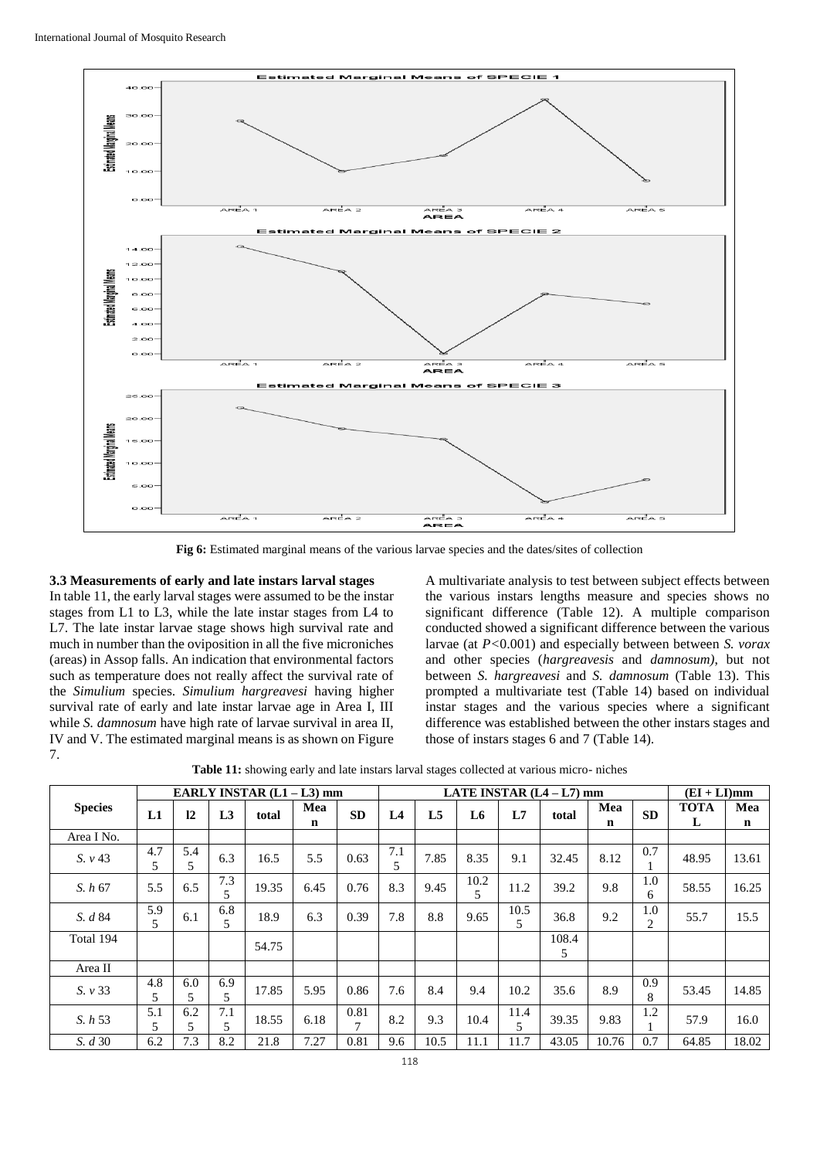

**Fig 6:** Estimated marginal means of the various larvae species and the dates/sites of collection

## **3.3 Measurements of early and late instars larval stages**

In table 11, the early larval stages were assumed to be the instar stages from L1 to L3, while the late instar stages from L4 to L7. The late instar larvae stage shows high survival rate and much in number than the oviposition in all the five microniches (areas) in Assop falls. An indication that environmental factors such as temperature does not really affect the survival rate of the *Simulium* species. *Simulium hargreavesi* having higher survival rate of early and late instar larvae age in Area I, III while *S. damnosum* have high rate of larvae survival in area II, IV and V. The estimated marginal means is as shown on Figure 7.

A multivariate analysis to test between subject effects between the various instars lengths measure and species shows no significant difference (Table 12). A multiple comparison conducted showed a significant difference between the various larvae (at *P<*0.001) and especially between between *S. vorax* and other species (*hargreavesis* and *damnosum)*, but not between *S. hargreavesi* and *S. damnosum* (Table 13). This prompted a multivariate test (Table 14) based on individual instar stages and the various species where a significant difference was established between the other instars stages and those of instars stages 6 and 7 (Table 14).

|                |          |           |          | EARLY INSTAR (L1 - L3) mm |          |                        |                |                |           |                        | LATE INSTAR $(L4 - L7)$ mm |                    |                       | $(EI + LI)mm$    |                    |
|----------------|----------|-----------|----------|---------------------------|----------|------------------------|----------------|----------------|-----------|------------------------|----------------------------|--------------------|-----------------------|------------------|--------------------|
| <b>Species</b> | L1       | 12        | L3       | total                     | Mea<br>n | <b>SD</b>              | L <sub>4</sub> | L <sub>5</sub> | L6        | L7                     | total                      | Mea<br>$\mathbf n$ | <b>SD</b>             | <b>TOTA</b><br>L | Mea<br>$\mathbf n$ |
| Area I No.     |          |           |          |                           |          |                        |                |                |           |                        |                            |                    |                       |                  |                    |
| S. v43         | 4.7<br>5 | 5.4<br>5  | 6.3      | 16.5                      | 5.5      | 0.63                   | 7.1<br>5       | 7.85           | 8.35      | 9.1                    | 32.45                      | 8.12               | 0.7                   | 48.95            | 13.61              |
| S. h67         | 5.5      | 6.5       | 7.3<br>5 | 19.35                     | 6.45     | 0.76                   | 8.3            | 9.45           | 10.2<br>5 | 11.2                   | 39.2                       | 9.8                | 1.0<br>6              | 58.55            | 16.25              |
| S. d 84        | 5.9<br>5 | 6.1       | 6.8<br>5 | 18.9                      | 6.3      | 0.39                   | 7.8            | 8.8            | 9.65      | 10.5<br>5              | 36.8                       | 9.2                | 1.0<br>$\overline{2}$ | 55.7             | 15.5               |
| Total 194      |          |           |          | 54.75                     |          |                        |                |                |           |                        | 108.4<br>5                 |                    |                       |                  |                    |
| Area II        |          |           |          |                           |          |                        |                |                |           |                        |                            |                    |                       |                  |                    |
| S. v33         | 4.8<br>5 | 6.0<br>5. | 6.9<br>5 | 17.85                     | 5.95     | 0.86                   | 7.6            | 8.4            | 9.4       | 10.2                   | 35.6                       | 8.9                | 0.9<br>8              | 53.45            | 14.85              |
| S. h 53        | 5.1<br>5 | 6.2<br>5. | 7.1<br>5 | 18.55                     | 6.18     | 0.81<br>$\overline{7}$ | 8.2            | 9.3            | 10.4      | 11.4<br>$\overline{5}$ | 39.35                      | 9.83               | 1.2                   | 57.9             | 16.0               |
| S. d 30        | 6.2      | 7.3       | 8.2      | 21.8                      | 7.27     | 0.81                   | 9.6            | 10.5           | 11.1      | 11.7                   | 43.05                      | 10.76              | 0.7                   | 64.85            | 18.02              |

**Table 11:** showing early and late instars larval stages collected at various micro- niches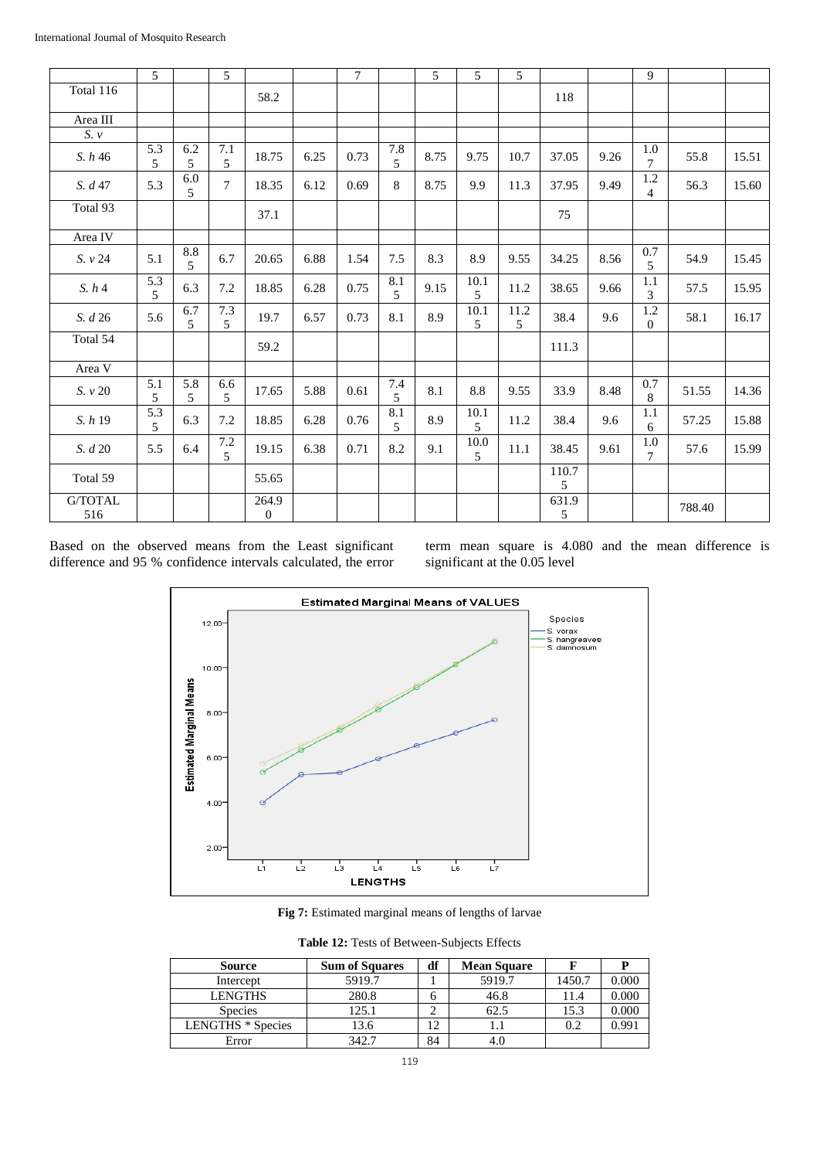|                         | 5        |                       | $\overline{5}$        |                           |      | $\overline{7}$ |              | 5    | 5                       | 5         |            |      | 9                          |        |       |
|-------------------------|----------|-----------------------|-----------------------|---------------------------|------|----------------|--------------|------|-------------------------|-----------|------------|------|----------------------------|--------|-------|
| Total 116               |          |                       |                       | 58.2                      |      |                |              |      |                         |           | 118        |      |                            |        |       |
| Area $\rm III$          |          |                       |                       |                           |      |                |              |      |                         |           |            |      |                            |        |       |
| $S.$ $\nu$              |          |                       |                       |                           |      |                |              |      |                         |           |            |      |                            |        |       |
| S. h 46                 | 5.3<br>5 | 6.2<br>5              | 7.1<br>5              | 18.75                     | 6.25 | 0.73           | $7.8\,$<br>5 | 8.75 | 9.75                    | 10.7      | 37.05      | 9.26 | $1.0\,$<br>$\overline{7}$  | 55.8   | 15.51 |
| S. d 47                 | 5.3      | 6.0<br>5              | $\boldsymbol{7}$      | 18.35                     | 6.12 | 0.69           | 8            | 8.75 | 9.9                     | 11.3      | 37.95      | 9.49 | $1.2\,$<br>$\overline{4}$  | 56.3   | 15.60 |
| Total 93                |          |                       |                       | 37.1                      |      |                |              |      |                         |           | 75         |      |                            |        |       |
| Area IV                 |          |                       |                       |                           |      |                |              |      |                         |           |            |      |                            |        |       |
| S. v 24                 | 5.1      | 8.8<br>5              | 6.7                   | 20.65                     | 6.88 | 1.54           | 7.5          | 8.3  | 8.9                     | 9.55      | 34.25      | 8.56 | 0.7<br>5                   | 54.9   | 15.45 |
| S. h4                   | 5.3<br>5 | 6.3                   | 7.2                   | 18.85                     | 6.28 | 0.75           | $8.1\,$<br>5 | 9.15 | 10.1<br>5               | 11.2      | 38.65      | 9.66 | 1.1<br>3                   | 57.5   | 15.95 |
| S. d 26                 | 5.6      | 6.7<br>5              | 7.3<br>5              | 19.7                      | 6.57 | 0.73           | 8.1          | 8.9  | 10.1<br>5               | 11.2<br>5 | 38.4       | 9.6  | $1.2\,$<br>$\mathbf{0}$    | 58.1   | 16.17 |
| Total 54                |          |                       |                       | 59.2                      |      |                |              |      |                         |           | 111.3      |      |                            |        |       |
| Area V                  |          |                       |                       |                           |      |                |              |      |                         |           |            |      |                            |        |       |
| $S.~\nu~20$             | 5.1<br>5 | $\overline{5.8}$<br>5 | 6.6<br>5              | 17.65                     | 5.88 | 0.61           | $7.4\,$<br>5 | 8.1  | 8.8                     | 9.55      | 33.9       | 8.48 | $0.7\,$<br>8               | 51.55  | 14.36 |
| S. h 19                 | 5.3<br>5 | 6.3                   | 7.2                   | 18.85                     | 6.28 | 0.76           | $8.1\,$<br>5 | 8.9  | 10.1<br>$5\overline{)}$ | 11.2      | 38.4       | 9.6  | 1.1<br>6                   | 57.25  | 15.88 |
| S. d 20                 | 5.5      | 6.4                   | 7.2<br>$\mathfrak{F}$ | 19.15                     | 6.38 | 0.71           | 8.2          | 9.1  | 10.0<br>5               | 11.1      | 38.45      | 9.61 | $1.0\,$<br>$7\phantom{.0}$ | 57.6   | 15.99 |
| Total 59                |          |                       |                       | 55.65                     |      |                |              |      |                         |           | 110.7<br>5 |      |                            |        |       |
| $\mbox{G/TOTAL}$<br>516 |          |                       |                       | 264.9<br>$\boldsymbol{0}$ |      |                |              |      |                         |           | 631.9<br>5 |      |                            | 788.40 |       |

Based on the observed means from the Least significant difference and 95 % confidence intervals calculated, the error term mean square is 4.080 and the mean difference is significant at the 0.05 level



Fig 7: Estimated marginal means of lengths of larvae

**Table 12:** Tests of Between-Subjects Effects

| <b>Source</b>            | <b>Sum of Squares</b> | df | <b>Mean Square</b> |        |           |
|--------------------------|-----------------------|----|--------------------|--------|-----------|
| Intercept                | 5919.7                |    | 5919.7             | 1450.7 | $0.000\,$ |
| <b>LENGTHS</b>           | 280.8                 |    | 46.8               | 11.4   | $0.000\,$ |
| <b>Species</b>           | 125.1                 |    | 62.5               | 15.3   | $0.000\,$ |
| <b>LENGTHS</b> * Species | 13.6                  |    |                    | 0.2    | 0.991     |
| Error                    | 342.7                 | 84 |                    |        |           |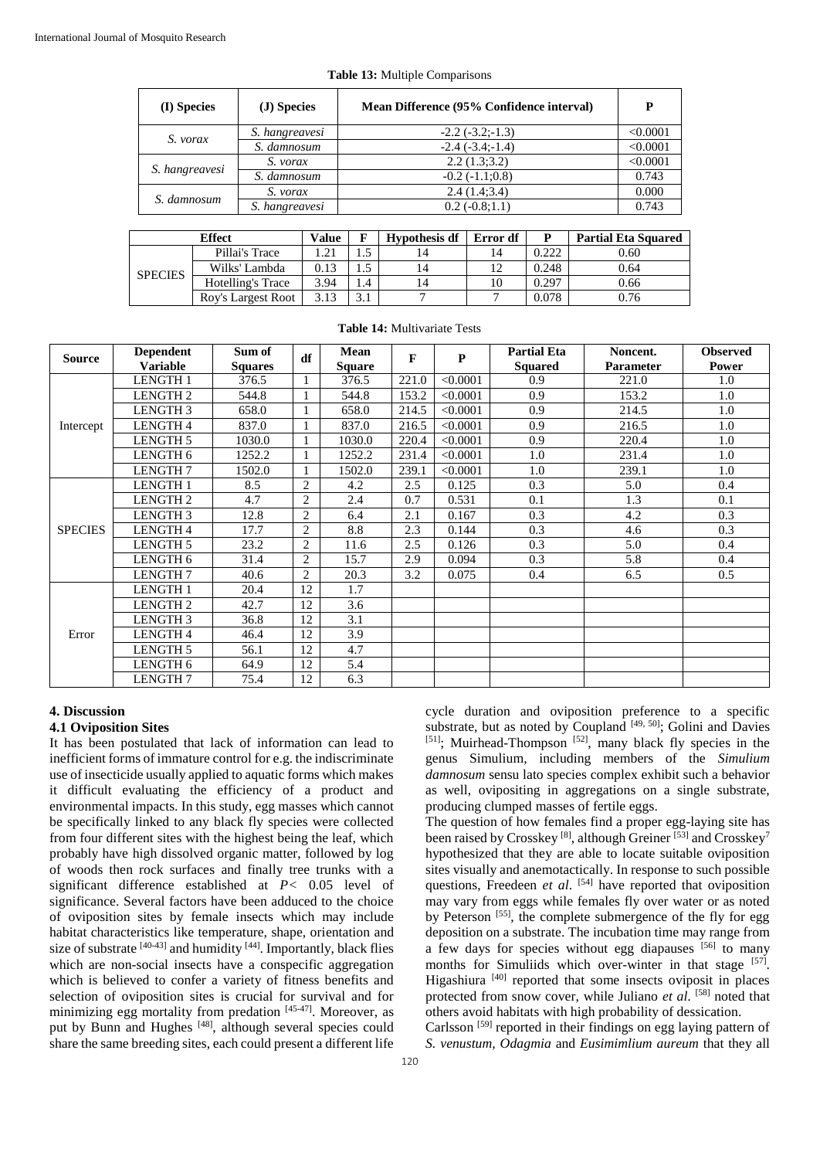| (I) Species    | (J) Species    | Mean Difference (95% Confidence interval) | P        |
|----------------|----------------|-------------------------------------------|----------|
|                | S. hangreavesi | $-2.2(-3.2,-1.3)$                         | < 0.0001 |
| S. vorax       | S. damnosum    | $-2.4(-3.4,-1.4)$                         | < 0.0001 |
|                | S. vorax       | 2.2(1.3;3.2)                              | < 0.0001 |
| S. hangreavesi | S. damnosum    | $-0.2(-1.1;0.8)$                          | 0.743    |
|                | S. vorax       | 2.4(1.4;3.4)                              | 0.000    |
| S. damnosum    | S. hangreavesi | $0.2(-0.8;1.1)$                           | 0.743    |

|  | <b>Table 13:</b> Multiple Comparisons |
|--|---------------------------------------|
|  |                                       |

|                | <b>Value</b>       |      | <b>Hypothesis df</b> | Error df | Þ  | <b>Partial Eta Squared</b> |      |
|----------------|--------------------|------|----------------------|----------|----|----------------------------|------|
| <b>SPECIES</b> | Pillai's Trace     | .21  |                      |          | 14 | 0.222                      | 0.60 |
|                | Wilks' Lambda      | 0.13 |                      | 14       |    | 0.248                      | 0.64 |
|                | Hotelling's Trace  | 3.94 | 4.4                  | 14       | 10 | 0.297                      | 0.66 |
|                | Roy's Largest Root | 3.13 |                      |          |    | 0.078                      | 0.76 |

**Table 14:** Multivariate Tests

| <b>Source</b>  | <b>Dependent</b><br><b>Variable</b> | Sum of<br><b>Squares</b> | df                       | Mean<br><b>Square</b> | $\mathbf{F}$ | P        | <b>Partial Eta</b><br><b>Squared</b> | Noncent.<br><b>Parameter</b> | <b>Observed</b><br><b>Power</b> |
|----------------|-------------------------------------|--------------------------|--------------------------|-----------------------|--------------|----------|--------------------------------------|------------------------------|---------------------------------|
|                | <b>LENGTH 1</b>                     | 376.5                    | $\mathbf{1}$             | 376.5                 | 221.0        | < 0.0001 | 0.9                                  | 221.0                        | 1.0                             |
|                | LENGTH <sub>2</sub>                 | 544.8                    |                          | 544.8                 | 153.2        | < 0.0001 | 0.9                                  | 153.2                        | 1.0                             |
|                | <b>LENGTH3</b>                      | 658.0                    | $\overline{\phantom{a}}$ | 658.0                 | 214.5        | < 0.0001 | 0.9                                  | 214.5                        | 1.0                             |
| Intercept      | <b>LENGTH4</b>                      | 837.0                    | $\overline{1}$           | 837.0                 | 216.5        | < 0.0001 | 0.9                                  | 216.5                        | 1.0                             |
|                | <b>LENGTH 5</b>                     | 1030.0                   |                          | 1030.0                | 220.4        | < 0.0001 | 0.9                                  | 220.4                        | 1.0                             |
|                | LENGTH 6                            | 1252.2                   |                          | 1252.2                | 231.4        | < 0.0001 | 1.0                                  | 231.4                        | 1.0                             |
|                | LENGTH <sub>7</sub>                 | 1502.0                   | $\mathbf{1}$             | 1502.0                | 239.1        | < 0.0001 | 1.0                                  | 239.1                        | 1.0                             |
|                | <b>LENGTH 1</b>                     | 8.5                      | $\overline{2}$           | 4.2                   | 2.5          | 0.125    | 0.3                                  | 5.0                          | 0.4                             |
|                | LENGTH <sub>2</sub>                 | 4.7                      | $\overline{2}$           | 2.4                   | 0.7          | 0.531    | 0.1                                  | 1.3                          | 0.1                             |
|                | <b>LENGTH3</b>                      | 12.8                     | $\overline{2}$           | 6.4                   | 2.1          | 0.167    | 0.3                                  | 4.2                          | 0.3                             |
| <b>SPECIES</b> | <b>LENGTH4</b>                      | 17.7                     | $\overline{2}$           | 8.8                   | 2.3          | 0.144    | 0.3                                  | 4.6                          | 0.3                             |
|                | LENGTH <sub>5</sub>                 | 23.2                     | $\overline{2}$           | 11.6                  | 2.5          | 0.126    | 0.3                                  | 5.0                          | 0.4                             |
|                | LENGTH 6                            | 31.4                     | $\overline{2}$           | 15.7                  | 2.9          | 0.094    | 0.3                                  | 5.8                          | 0.4                             |
|                | LENGTH <sub>7</sub>                 | 40.6                     | $\overline{2}$           | 20.3                  | 3.2          | 0.075    | 0.4                                  | 6.5                          | 0.5                             |
|                | <b>LENGTH1</b>                      | 20.4                     | 12                       | 1.7                   |              |          |                                      |                              |                                 |
|                | LENGTH <sub>2</sub>                 | 42.7                     | 12                       | 3.6                   |              |          |                                      |                              |                                 |
|                | LENGTH <sub>3</sub>                 | 36.8                     | 12                       | 3.1                   |              |          |                                      |                              |                                 |
| Error          | <b>LENGTH4</b>                      | 46.4                     | 12                       | 3.9                   |              |          |                                      |                              |                                 |
|                | <b>LENGTH 5</b>                     | 56.1                     | 12                       | 4.7                   |              |          |                                      |                              |                                 |
|                | LENGTH 6                            | 64.9                     | 12                       | 5.4                   |              |          |                                      |                              |                                 |
|                | LENGTH <sub>7</sub>                 | 75.4                     | 12                       | 6.3                   |              |          |                                      |                              |                                 |

## **4. Discussion**

## **4.1 Oviposition Sites**

It has been postulated that lack of information can lead to inefficient forms of immature control for e.g. the indiscriminate use of insecticide usually applied to aquatic forms which makes it difficult evaluating the efficiency of a product and environmental impacts. In this study, egg masses which cannot be specifically linked to any black fly species were collected from four different sites with the highest being the leaf, which probably have high dissolved organic matter, followed by log of woods then rock surfaces and finally tree trunks with a significant difference established at *P<* 0.05 level of significance. Several factors have been adduced to the choice of oviposition sites by female insects which may include habitat characteristics like temperature, shape, orientation and size of substrate  $[40-43]$  and humidity  $[44]$ . Importantly, black flies which are non-social insects have a conspecific aggregation which is believed to confer a variety of fitness benefits and selection of oviposition sites is crucial for survival and for minimizing egg mortality from predation [45-47]. Moreover, as put by Bunn and Hughes<sup>[48]</sup>, although several species could share the same breeding sites, each could present a different life

cycle duration and oviposition preference to a specific substrate, but as noted by Coupland [49, 50]; Golini and Davies  $[51]$ ; Muirhead-Thompson  $[52]$ , many black fly species in the genus Simulium, including members of the *Simulium damnosum* sensu lato species complex exhibit such a behavior as well, ovipositing in aggregations on a single substrate, producing clumped masses of fertile eggs.

The question of how females find a proper egg-laying site has been raised by Crosskey<sup>[8]</sup>, although Greiner<sup>[53]</sup> and Crosskey<sup>7</sup> hypothesized that they are able to locate suitable oviposition sites visually and anemotactically. In response to such possible questions, Freedeen *et al*. [54] have reported that oviposition may vary from eggs while females fly over water or as noted by Peterson<sup>[55]</sup>, the complete submergence of the fly for egg deposition on a substrate. The incubation time may range from a few days for species without egg diapauses [56] to many months for Simuliids which over-winter in that stage [57]. Higashiura<sup>[40]</sup> reported that some insects oviposit in places protected from snow cover, while Juliano *et al*. [58] noted that others avoid habitats with high probability of dessication.

Carlsson<sup>[59]</sup> reported in their findings on egg laying pattern of *S. venustum, Odagmia* and *Eusimimlium aureum* that they all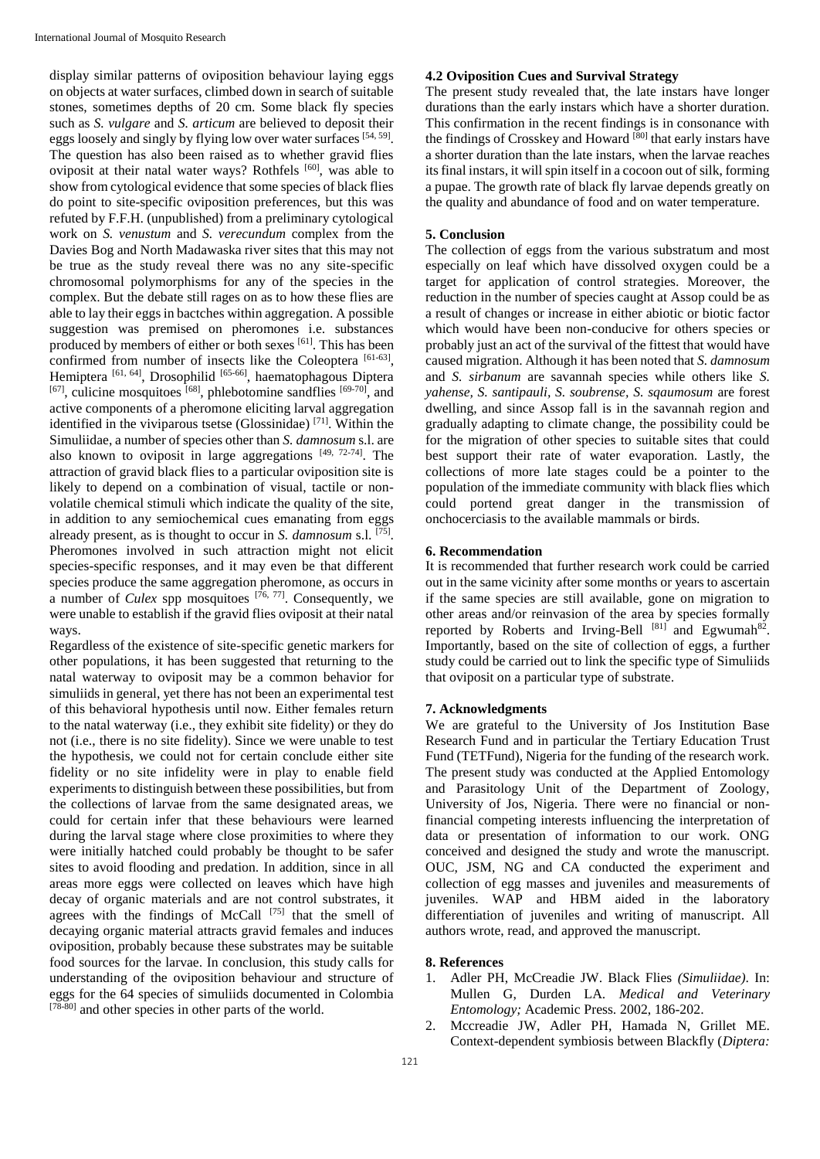display similar patterns of oviposition behaviour laying eggs on objects at water surfaces, climbed down in search of suitable stones, sometimes depths of 20 cm. Some black fly species such as *S. vulgare* and *S. articum* are believed to deposit their eggs loosely and singly by flying low over water surfaces [54, 59]. The question has also been raised as to whether gravid flies oviposit at their natal water ways? Rothfels [60], was able to show from cytological evidence that some species of black flies do point to site-specific oviposition preferences, but this was refuted by F.F.H. (unpublished) from a preliminary cytological work on *S. venustum* and *S. verecundum* complex from the Davies Bog and North Madawaska river sites that this may not be true as the study reveal there was no any site-specific chromosomal polymorphisms for any of the species in the complex. But the debate still rages on as to how these flies are able to lay their eggs in bactches within aggregation. A possible suggestion was premised on pheromones i.e. substances produced by members of either or both sexes [61]. This has been confirmed from number of insects like the Coleoptera [61-63], Hemiptera<sup>[61, 64]</sup>, Drosophilid<sup>[65-66]</sup>, haematophagous Diptera  $[67]$ , culicine mosquitoes  $[68]$ , phlebotomine sandflies  $[69-70]$ , and active components of a pheromone eliciting larval aggregation identified in the viviparous tsetse (Glossinidae) [71] . Within the Simuliidae, a number of species other than *S. damnosum* s.l. are also known to oviposit in large aggregations  $[49, 72-74]$ . The attraction of gravid black flies to a particular oviposition site is likely to depend on a combination of visual, tactile or nonvolatile chemical stimuli which indicate the quality of the site, in addition to any semiochemical cues emanating from eggs already present, as is thought to occur in *S. damnosum* s.l. [75] . Pheromones involved in such attraction might not elicit species-specific responses, and it may even be that different species produce the same aggregation pheromone, as occurs in a number of *Culex* spp mosquitoes <sup>[76, 77]</sup>. Consequently, we were unable to establish if the gravid flies oviposit at their natal ways.

Regardless of the existence of site-specific genetic markers for other populations, it has been suggested that returning to the natal waterway to oviposit may be a common behavior for simuliids in general, yet there has not been an experimental test of this behavioral hypothesis until now. Either females return to the natal waterway (i.e., they exhibit site fidelity) or they do not (i.e., there is no site fidelity). Since we were unable to test the hypothesis, we could not for certain conclude either site fidelity or no site infidelity were in play to enable field experiments to distinguish between these possibilities, but from the collections of larvae from the same designated areas, we could for certain infer that these behaviours were learned during the larval stage where close proximities to where they were initially hatched could probably be thought to be safer sites to avoid flooding and predation. In addition, since in all areas more eggs were collected on leaves which have high decay of organic materials and are not control substrates, it agrees with the findings of McCall  $[75]$  that the smell of decaying organic material attracts gravid females and induces oviposition, probably because these substrates may be suitable food sources for the larvae. In conclusion, this study calls for understanding of the oviposition behaviour and structure of eggs for the 64 species of simuliids documented in Colombia [78-80] and other species in other parts of the world.

### **4.2 Oviposition Cues and Survival Strategy**

The present study revealed that, the late instars have longer durations than the early instars which have a shorter duration. This confirmation in the recent findings is in consonance with the findings of Crosskey and Howard<sup>[80]</sup> that early instars have a shorter duration than the late instars, when the larvae reaches its final instars, it will spin itself in a cocoon out of silk, forming a pupae. The growth rate of black fly larvae depends greatly on the quality and abundance of food and on water temperature.

#### **5. Conclusion**

The collection of eggs from the various substratum and most especially on leaf which have dissolved oxygen could be a target for application of control strategies. Moreover, the reduction in the number of species caught at Assop could be as a result of changes or increase in either abiotic or biotic factor which would have been non-conducive for others species or probably just an act of the survival of the fittest that would have caused migration. Although it has been noted that *S. damnosum*  and *S. sirbanum* are savannah species while others like *S. yahense, S. santipauli, S. soubrense, S. sqaumosum* are forest dwelling, and since Assop fall is in the savannah region and gradually adapting to climate change, the possibility could be for the migration of other species to suitable sites that could best support their rate of water evaporation. Lastly, the collections of more late stages could be a pointer to the population of the immediate community with black flies which could portend great danger in the transmission of onchocerciasis to the available mammals or birds.

## **6. Recommendation**

It is recommended that further research work could be carried out in the same vicinity after some months or years to ascertain if the same species are still available, gone on migration to other areas and/or reinvasion of the area by species formally reported by Roberts and Irving-Bell  $[81]$  and Egwumah<sup>82</sup>. Importantly, based on the site of collection of eggs, a further study could be carried out to link the specific type of Simuliids that oviposit on a particular type of substrate.

#### **7. Acknowledgments**

We are grateful to the University of Jos Institution Base Research Fund and in particular the Tertiary Education Trust Fund (TETFund), Nigeria for the funding of the research work. The present study was conducted at the Applied Entomology and Parasitology Unit of the Department of Zoology, University of Jos, Nigeria. There were no financial or nonfinancial competing interests influencing the interpretation of data or presentation of information to our work. ONG conceived and designed the study and wrote the manuscript. OUC, JSM, NG and CA conducted the experiment and collection of egg masses and juveniles and measurements of juveniles. WAP and HBM aided in the laboratory differentiation of juveniles and writing of manuscript. All authors wrote, read, and approved the manuscript.

## **8. References**

- 1. Adler PH, McCreadie JW. Black Flies *(Simuliidae)*. In: Mullen G, Durden LA. *Medical and Veterinary Entomology;* Academic Press. 2002, 186-202.
- 2. Mccreadie JW, Adler PH, Hamada N, Grillet ME. Context-dependent symbiosis between Blackfly (*Diptera:*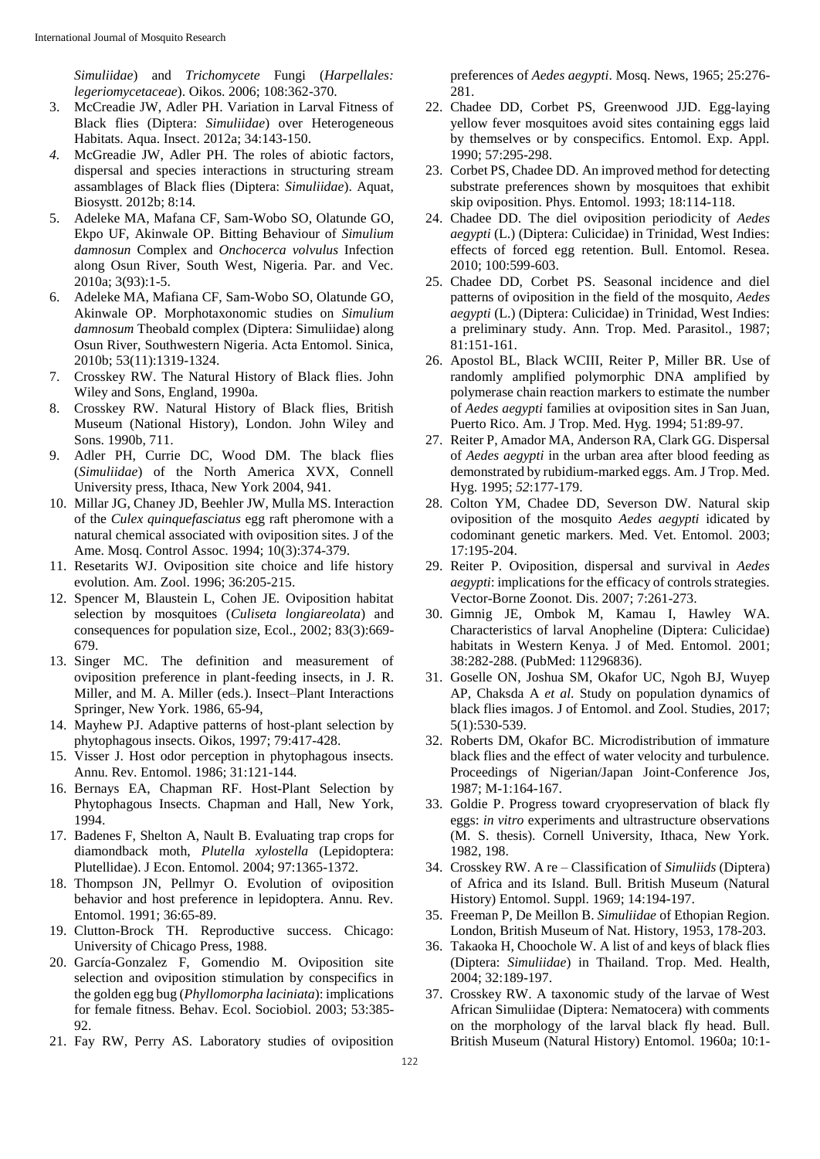*Simuliidae*) and *Trichomycete* Fungi (*Harpellales: legeriomycetaceae*). Oikos. 2006; 108:362-370.

- 3. McCreadie JW, Adler PH. Variation in Larval Fitness of Black flies (Diptera: *Simuliidae*) over Heterogeneous Habitats. Aqua. Insect. 2012a; 34:143-150.
- *4.* McGreadie JW, Adler PH. The roles of abiotic factors, dispersal and species interactions in structuring stream assamblages of Black flies (Diptera: *Simuliidae*). Aquat, Biosystt. 2012b; 8:14*.*
- 5. Adeleke MA, Mafana CF, Sam-Wobo SO, Olatunde GO, Ekpo UF, Akinwale OP. Bitting Behaviour of *Simulium damnosun* Complex and *Onchocerca volvulus* Infection along Osun River, South West, Nigeria. Par. and Vec. 2010a; 3(93):1-5.
- 6. Adeleke MA, Mafiana CF, Sam-Wobo SO, Olatunde GO, Akinwale OP. Morphotaxonomic studies on *Simulium damnosum* Theobald complex (Diptera: Simuliidae) along Osun River, Southwestern Nigeria. Acta Entomol. Sinica, 2010b; 53(11):1319-1324.
- 7. Crosskey RW. The Natural History of Black flies. John Wiley and Sons, England, 1990a.
- 8. Crosskey RW. Natural History of Black flies, British Museum (National History), London. John Wiley and Sons. 1990b, 711.
- 9. Adler PH, Currie DC, Wood DM. The black flies (*Simuliidae*) of the North America XVX, Connell University press, Ithaca, New York 2004, 941.
- 10. Millar JG, Chaney JD, Beehler JW, Mulla MS. Interaction of the *Culex quinquefasciatus* egg raft pheromone with a natural chemical associated with oviposition sites. J of the Ame. Mosq. Control Assoc. 1994; 10(3):374-379.
- 11. Resetarits WJ. Oviposition site choice and life history evolution. Am. Zool. 1996; 36:205-215.
- 12. Spencer M, Blaustein L, Cohen JE. Oviposition habitat selection by mosquitoes (*Culiseta longiareolata*) and consequences for population size, Ecol., 2002; 83(3):669- 679.
- 13. Singer MC. The definition and measurement of oviposition preference in plant-feeding insects, in J. R. Miller, and M. A. Miller (eds.). Insect–Plant Interactions Springer, New York. 1986, 65-94,
- 14. Mayhew PJ. Adaptive patterns of host-plant selection by phytophagous insects. Oikos, 1997; 79:417-428.
- 15. Visser J. Host odor perception in phytophagous insects. Annu. Rev. Entomol. 1986; 31:121-144.
- 16. Bernays EA, Chapman RF. Host-Plant Selection by Phytophagous Insects. Chapman and Hall, New York, 1994.
- 17. Badenes F, Shelton A, Nault B. Evaluating trap crops for diamondback moth, *Plutella xylostella* (Lepidoptera: Plutellidae). J Econ. Entomol. 2004; 97:1365-1372.
- 18. Thompson JN, Pellmyr O. Evolution of oviposition behavior and host preference in lepidoptera. Annu. Rev. Entomol. 1991; 36:65-89.
- 19. Clutton-Brock TH. Reproductive success. Chicago: University of Chicago Press, 1988.
- 20. García-Gonzalez F, Gomendio M. Oviposition site selection and oviposition stimulation by conspecifics in the golden egg bug (*Phyllomorpha laciniata*): implications for female fitness. Behav. Ecol. Sociobiol. 2003; 53:385- 92.
- 21. Fay RW, Perry AS. Laboratory studies of oviposition

preferences of *Aedes aegypti*. Mosq. News, 1965; 25:276- 281.

- 22. Chadee DD, Corbet PS, Greenwood JJD. Egg-laying yellow fever mosquitoes avoid sites containing eggs laid by themselves or by conspecifics. Entomol. Exp. Appl. 1990; 57:295-298.
- 23. Corbet PS, Chadee DD. An improved method for detecting substrate preferences shown by mosquitoes that exhibit skip oviposition. Phys. Entomol. 1993; 18:114-118.
- 24. Chadee DD. The diel oviposition periodicity of *Aedes aegypti* (L.) (Diptera: Culicidae) in Trinidad, West Indies: effects of forced egg retention. Bull. Entomol. Resea*.* 2010; 100:599-603.
- 25. Chadee DD, Corbet PS. Seasonal incidence and diel patterns of oviposition in the field of the mosquito, *Aedes aegypti* (L.) (Diptera: Culicidae) in Trinidad, West Indies: a preliminary study. Ann. Trop. Med. Parasitol., 1987; 81:151-161.
- 26. Apostol BL, Black WCIII, Reiter P, Miller BR. Use of randomly amplified polymorphic DNA amplified by polymerase chain reaction markers to estimate the number of *Aedes aegypti* families at oviposition sites in San Juan, Puerto Rico. Am. J Trop. Med. Hyg. 1994; 51:89-97.
- 27. Reiter P, Amador MA, Anderson RA, Clark GG. Dispersal of *Aedes aegypti* in the urban area after blood feeding as demonstrated by rubidium-marked eggs. Am. J Trop. Med. Hyg. 1995; *52*:177-179.
- 28. Colton YM, Chadee DD, Severson DW. Natural skip oviposition of the mosquito *Aedes aegypti* idicated by codominant genetic markers. Med. Vet. Entomol. 2003; 17:195-204.
- 29. Reiter P. Oviposition, dispersal and survival in *Aedes aegypti*: implications for the efficacy of controls strategies. Vector-Borne Zoonot. Dis. 2007; 7:261-273.
- 30. Gimnig JE, Ombok M, Kamau I, Hawley WA. Characteristics of larval Anopheline (Diptera: Culicidae) habitats in Western Kenya. J of Med. Entomol. 2001; 38:282-288. (PubMed: 11296836).
- 31. Goselle ON, Joshua SM, Okafor UC, Ngoh BJ, Wuyep AP, Chaksda A *et al*. Study on population dynamics of black flies imagos. J of Entomol. and Zool. Studies, 2017; 5(1):530-539.
- 32. Roberts DM, Okafor BC. Microdistribution of immature black flies and the effect of water velocity and turbulence. Proceedings of Nigerian/Japan Joint*-*Conference Jos, 1987; M-1:164-167.
- 33. Goldie P. Progress toward cryopreservation of black fly eggs: *in vitro* experiments and ultrastructure observations (M. S. thesis). Cornell University, Ithaca, New York. 1982, 198.
- 34. Crosskey RW. A re Classification of *Simuliids* (Diptera) of Africa and its Island. Bull. British Museum (Natural History) Entomol. Suppl. 1969; 14:194-197.
- 35. Freeman P, De Meillon B. *Simuliidae* of Ethopian Region. London, British Museum of Nat. History, 1953, 178-203.
- 36. Takaoka H, Choochole W. A list of and keys of black flies (Diptera: *Simuliidae*) in Thailand. Trop. Med. Health*,* 2004; 32:189-197.
- 37. Crosskey RW. A taxonomic study of the larvae of West African Simuliidae (Diptera: Nematocera) with comments on the morphology of the larval black fly head. Bull. British Museum (Natural History) Entomol. 1960a; 10:1-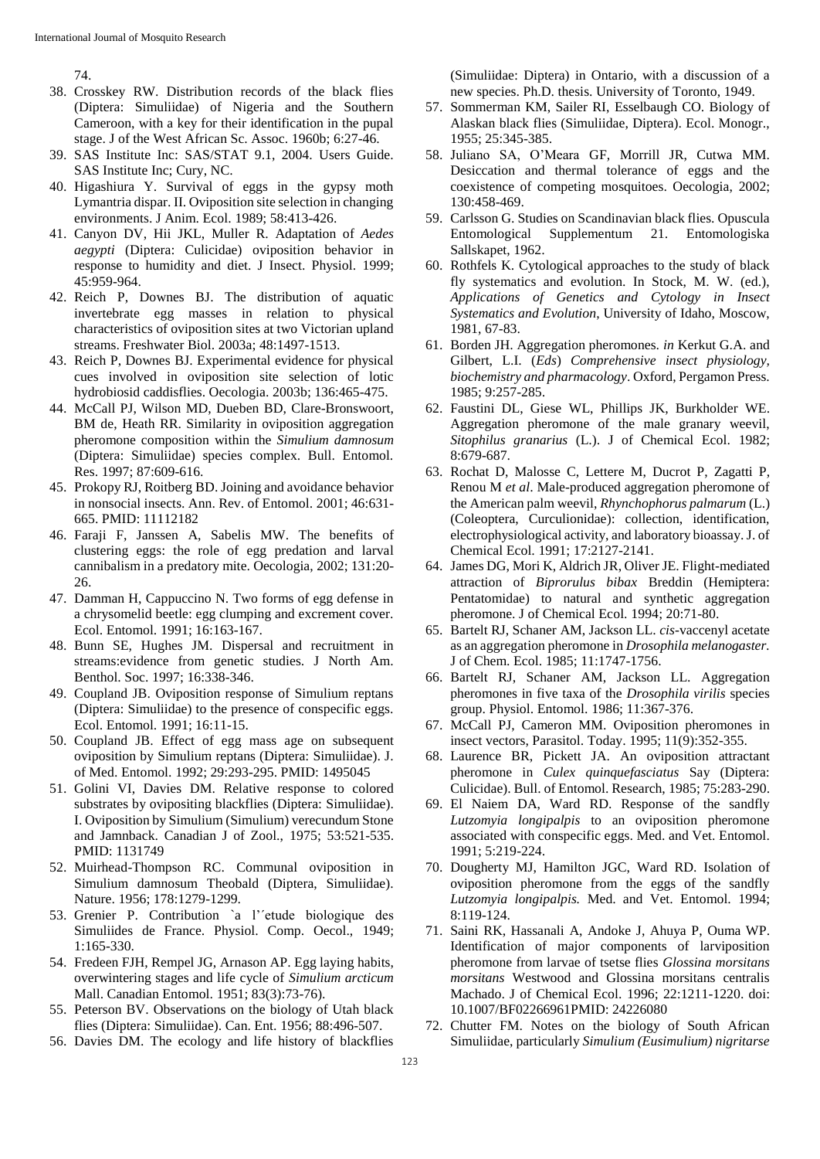74.

- 38. Crosskey RW. Distribution records of the black flies (Diptera: Simuliidae) of Nigeria and the Southern Cameroon, with a key for their identification in the pupal stage. J of the West African Sc. Assoc. 1960b; 6:27-46.
- 39. SAS Institute Inc: SAS/STAT 9.1, 2004. Users Guide. SAS Institute Inc; Cury, NC.
- 40. Higashiura Y. Survival of eggs in the gypsy moth Lymantria dispar. II. Oviposition site selection in changing environments. J Anim. Ecol. 1989; 58:413-426.
- 41. Canyon DV, Hii JKL, Muller R. Adaptation of *Aedes aegypti* (Diptera: Culicidae) oviposition behavior in response to humidity and diet. J Insect. Physiol. 1999; 45:959-964.
- 42. Reich P, Downes BJ. The distribution of aquatic invertebrate egg masses in relation to physical characteristics of oviposition sites at two Victorian upland streams. Freshwater Biol. 2003a; 48:1497-1513.
- 43. Reich P, Downes BJ. Experimental evidence for physical cues involved in oviposition site selection of lotic hydrobiosid caddisflies. Oecologia. 2003b; 136:465-475.
- 44. McCall PJ, Wilson MD, Dueben BD, Clare-Bronswoort, BM de, Heath RR. Similarity in oviposition aggregation pheromone composition within the *Simulium damnosum*  (Diptera: Simuliidae) species complex. Bull. Entomol. Res. 1997; 87:609-616.
- 45. Prokopy RJ, Roitberg BD. Joining and avoidance behavior in nonsocial insects. Ann. Rev. of Entomol. 2001; 46:631- 665. PMID: 11112182
- 46. Faraji F, Janssen A, Sabelis MW. The benefits of clustering eggs: the role of egg predation and larval cannibalism in a predatory mite. Oecologia, 2002; 131:20- 26.
- 47. Damman H, Cappuccino N. Two forms of egg defense in a chrysomelid beetle: egg clumping and excrement cover. Ecol. Entomol. 1991; 16:163-167.
- 48. Bunn SE, Hughes JM. Dispersal and recruitment in streams:evidence from genetic studies. J North Am. Benthol. Soc. 1997; 16:338-346.
- 49. Coupland JB. Oviposition response of Simulium reptans (Diptera: Simuliidae) to the presence of conspecific eggs. Ecol. Entomol. 1991; 16:11-15.
- 50. Coupland JB. Effect of egg mass age on subsequent oviposition by Simulium reptans (Diptera: Simuliidae). J. of Med. Entomol. 1992; 29:293-295. PMID: 1495045
- 51. Golini VI, Davies DM. Relative response to colored substrates by ovipositing blackflies (Diptera: Simuliidae). I. Oviposition by Simulium (Simulium) verecundum Stone and Jamnback. Canadian J of Zool., 1975; 53:521-535. PMID: 1131749
- 52. Muirhead-Thompson RC. Communal oviposition in Simulium damnosum Theobald (Diptera, Simuliidae). Nature. 1956; 178:1279-1299.
- 53. Grenier P. Contribution `a l'´etude biologique des Simuliides de France. Physiol. Comp. Oecol., 1949; 1:165-330.
- 54. Fredeen FJH, Rempel JG, Arnason AP. Egg laying habits, overwintering stages and life cycle of *Simulium arcticum* Mall. Canadian Entomol. 1951; 83(3):73-76).
- 55. Peterson BV. Observations on the biology of Utah black flies (Diptera: Simuliidae). Can. Ent. 1956; 88:496-507.
- 56. Davies DM. The ecology and life history of blackflies

(Simuliidae: Diptera) in Ontario, with a discussion of a new species. Ph.D. thesis. University of Toronto, 1949.

- 57. Sommerman KM, Sailer RI, Esselbaugh CO. Biology of Alaskan black flies (Simuliidae, Diptera). Ecol. Monogr., 1955; 25:345-385.
- 58. Juliano SA, O'Meara GF, Morrill JR, Cutwa MM. Desiccation and thermal tolerance of eggs and the coexistence of competing mosquitoes. Oecologia, 2002; 130:458-469.
- 59. Carlsson G. Studies on Scandinavian black flies. Opuscula Entomological Supplementum 21. Entomologiska Sallskapet, 1962.
- 60. Rothfels K. Cytological approaches to the study of black fly systematics and evolution. In Stock, M. W. (ed.), *Applications of Genetics and Cytology in Insect Systematics and Evolution*, University of Idaho, Moscow, 1981, 67-83.
- 61. Borden JH. Aggregation pheromones. *in* Kerkut G.A. and Gilbert, L.I. (*Eds*) *Comprehensive insect physiology, biochemistry and pharmacology*. Oxford, Pergamon Press. 1985; 9:257-285.
- 62. Faustini DL, Giese WL, Phillips JK, Burkholder WE. Aggregation pheromone of the male granary weevil, *Sitophilus granarius* (L.). J of Chemical Ecol. 1982; 8:679-687.
- 63. Rochat D, Malosse C, Lettere M, Ducrot P, Zagatti P, Renou M *et al*. Male-produced aggregation pheromone of the American palm weevil, *Rhynchophorus palmarum* (L.) (Coleoptera, Curculionidae): collection, identification, electrophysiological activity, and laboratory bioassay. J. of Chemical Ecol. 1991; 17:2127-2141.
- 64. James DG, Mori K, Aldrich JR, Oliver JE. Flight-mediated attraction of *Biprorulus bibax* Breddin (Hemiptera: Pentatomidae) to natural and synthetic aggregation pheromone. J of Chemical Ecol. 1994; 20:71-80.
- 65. Bartelt RJ, Schaner AM, Jackson LL. *cis*-vaccenyl acetate as an aggregation pheromone in *Drosophila melanogaster.*  J of Chem. Ecol. 1985; 11:1747-1756.
- 66. Bartelt RJ, Schaner AM, Jackson LL. Aggregation pheromones in five taxa of the *Drosophila virilis* species group. Physiol. Entomol. 1986; 11:367-376.
- 67. McCall PJ, Cameron MM. Oviposition pheromones in insect vectors, Parasitol. Today. 1995; 11(9):352-355.
- 68. Laurence BR, Pickett JA. An oviposition attractant pheromone in *Culex quinquefasciatus* Say (Diptera: Culicidae). Bull. of Entomol. Research, 1985; 75:283-290.
- 69. El Naiem DA, Ward RD. Response of the sandfly *Lutzomyia longipalpis* to an oviposition pheromone associated with conspecific eggs. Med. and Vet. Entomol. 1991; 5:219-224.
- 70. Dougherty MJ, Hamilton JGC, Ward RD. Isolation of oviposition pheromone from the eggs of the sandfly *Lutzomyia longipalpis.* Med. and Vet. Entomol. 1994; 8:119-124.
- 71. Saini RK, Hassanali A, Andoke J, Ahuya P, Ouma WP. Identification of major components of larviposition pheromone from larvae of tsetse flies *Glossina morsitans morsitans* Westwood and Glossina morsitans centralis Machado. J of Chemical Ecol. 1996; 22:1211-1220. doi: 10.1007/BF02266961PMID: 24226080
- 72. Chutter FM. Notes on the biology of South African Simuliidae, particularly *Simulium (Eusimulium) nigritarse*